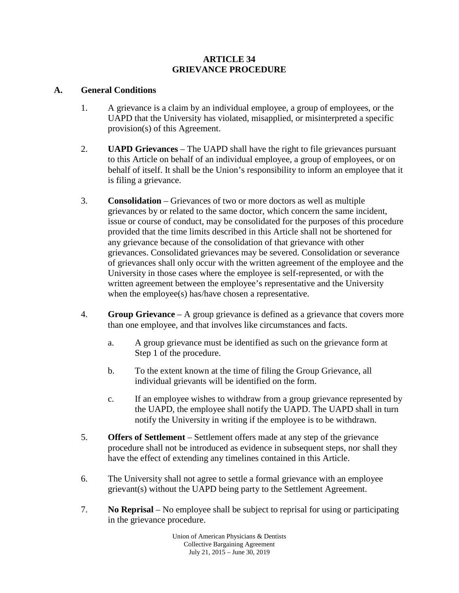### **ARTICLE 34 GRIEVANCE PROCEDURE**

### **A. General Conditions**

- 1. A grievance is a claim by an individual employee, a group of employees, or the UAPD that the University has violated, misapplied, or misinterpreted a specific provision(s) of this Agreement.
- 2. **UAPD Grievances** The UAPD shall have the right to file grievances pursuant to this Article on behalf of an individual employee, a group of employees, or on behalf of itself. It shall be the Union's responsibility to inform an employee that it is filing a grievance.
- 3. **Consolidation** Grievances of two or more doctors as well as multiple grievances by or related to the same doctor, which concern the same incident, issue or course of conduct, may be consolidated for the purposes of this procedure provided that the time limits described in this Article shall not be shortened for any grievance because of the consolidation of that grievance with other grievances. Consolidated grievances may be severed. Consolidation or severance of grievances shall only occur with the written agreement of the employee and the University in those cases where the employee is self-represented, or with the written agreement between the employee's representative and the University when the employee(s) has/have chosen a representative.
- 4. **Group Grievance** A group grievance is defined as a grievance that covers more than one employee, and that involves like circumstances and facts.
	- a. A group grievance must be identified as such on the grievance form at Step 1 of the procedure.
	- b. To the extent known at the time of filing the Group Grievance, all individual grievants will be identified on the form.
	- c. If an employee wishes to withdraw from a group grievance represented by the UAPD, the employee shall notify the UAPD. The UAPD shall in turn notify the University in writing if the employee is to be withdrawn.
- 5. **Offers of Settlement**  Settlement offers made at any step of the grievance procedure shall not be introduced as evidence in subsequent steps, nor shall they have the effect of extending any timelines contained in this Article.
- 6. The University shall not agree to settle a formal grievance with an employee grievant(s) without the UAPD being party to the Settlement Agreement.
- 7. **No Reprisal**  No employee shall be subject to reprisal for using or participating in the grievance procedure.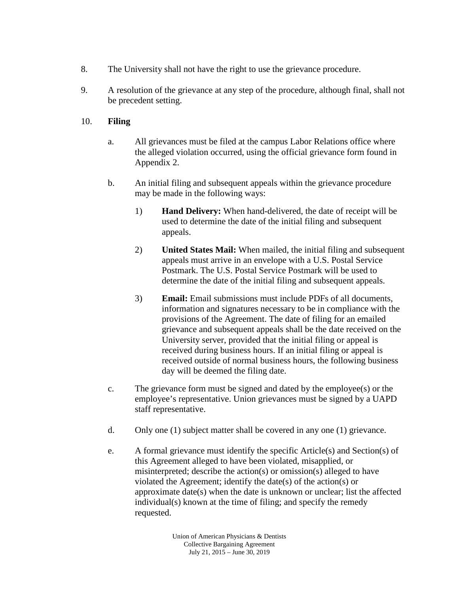- 8. The University shall not have the right to use the grievance procedure.
- 9. A resolution of the grievance at any step of the procedure, although final, shall not be precedent setting.

# 10. **Filing**

- a. All grievances must be filed at the campus Labor Relations office where the alleged violation occurred, using the official grievance form found in Appendix 2.
- b. An initial filing and subsequent appeals within the grievance procedure may be made in the following ways:
	- 1) **Hand Delivery:** When hand-delivered, the date of receipt will be used to determine the date of the initial filing and subsequent appeals.
	- 2) **United States Mail:** When mailed, the initial filing and subsequent appeals must arrive in an envelope with a U.S. Postal Service Postmark. The U.S. Postal Service Postmark will be used to determine the date of the initial filing and subsequent appeals.
	- 3) **Email:** Email submissions must include PDFs of all documents, information and signatures necessary to be in compliance with the provisions of the Agreement. The date of filing for an emailed grievance and subsequent appeals shall be the date received on the University server, provided that the initial filing or appeal is received during business hours. If an initial filing or appeal is received outside of normal business hours, the following business day will be deemed the filing date.
- c. The grievance form must be signed and dated by the employee(s) or the employee's representative. Union grievances must be signed by a UAPD staff representative.
- d. Only one (1) subject matter shall be covered in any one (1) grievance.
- e. A formal grievance must identify the specific Article(s) and Section(s) of this Agreement alleged to have been violated, misapplied, or misinterpreted; describe the action(s) or omission(s) alleged to have violated the Agreement; identify the date(s) of the action(s) or approximate date(s) when the date is unknown or unclear; list the affected individual(s) known at the time of filing; and specify the remedy requested.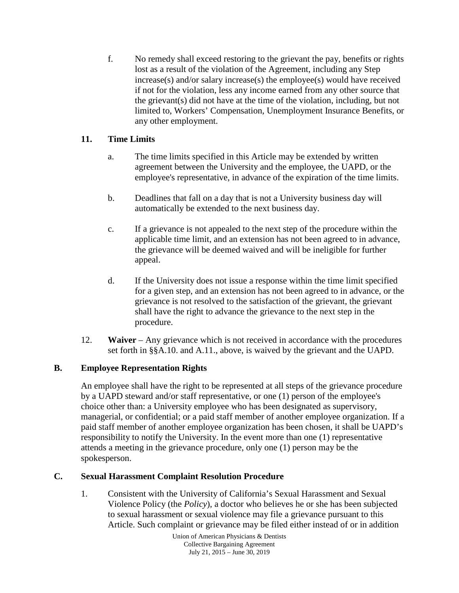f. No remedy shall exceed restoring to the grievant the pay, benefits or rights lost as a result of the violation of the Agreement, including any Step increase(s) and/or salary increase(s) the employee(s) would have received if not for the violation, less any income earned from any other source that the grievant(s) did not have at the time of the violation, including, but not limited to, Workers' Compensation, Unemployment Insurance Benefits, or any other employment.

# **11. Time Limits**

- a. The time limits specified in this Article may be extended by written agreement between the University and the employee, the UAPD, or the employee's representative, in advance of the expiration of the time limits.
- b. Deadlines that fall on a day that is not a University business day will automatically be extended to the next business day.
- c. If a grievance is not appealed to the next step of the procedure within the applicable time limit, and an extension has not been agreed to in advance, the grievance will be deemed waived and will be ineligible for further appeal.
- d. If the University does not issue a response within the time limit specified for a given step, and an extension has not been agreed to in advance, or the grievance is not resolved to the satisfaction of the grievant, the grievant shall have the right to advance the grievance to the next step in the procedure.
- 12. **Waiver**  Any grievance which is not received in accordance with the procedures set forth in §§A.10. and A.11., above, is waived by the grievant and the UAPD.

# **B. Employee Representation Rights**

An employee shall have the right to be represented at all steps of the grievance procedure by a UAPD steward and/or staff representative, or one (1) person of the employee's choice other than: a University employee who has been designated as supervisory, managerial, or confidential; or a paid staff member of another employee organization. If a paid staff member of another employee organization has been chosen, it shall be UAPD's responsibility to notify the University. In the event more than one (1) representative attends a meeting in the grievance procedure, only one (1) person may be the spokesperson.

# **C. Sexual Harassment Complaint Resolution Procedure**

1. Consistent with the University of California's Sexual Harassment and Sexual Violence Policy (the *Policy*), a doctor who believes he or she has been subjected to sexual harassment or sexual violence may file a grievance pursuant to this Article. Such complaint or grievance may be filed either instead of or in addition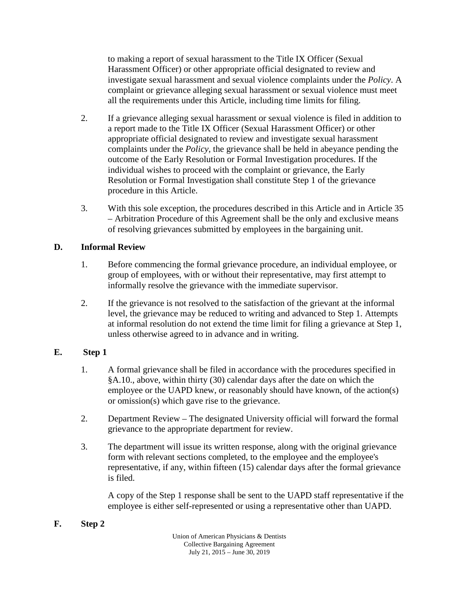to making a report of sexual harassment to the Title IX Officer (Sexual Harassment Officer) or other appropriate official designated to review and investigate sexual harassment and sexual violence complaints under the *Policy*. A complaint or grievance alleging sexual harassment or sexual violence must meet all the requirements under this Article, including time limits for filing.

- 2. If a grievance alleging sexual harassment or sexual violence is filed in addition to a report made to the Title IX Officer (Sexual Harassment Officer) or other appropriate official designated to review and investigate sexual harassment complaints under the *Policy*, the grievance shall be held in abeyance pending the outcome of the Early Resolution or Formal Investigation procedures. If the individual wishes to proceed with the complaint or grievance, the Early Resolution or Formal Investigation shall constitute Step 1 of the grievance procedure in this Article.
- 3. With this sole exception, the procedures described in this Article and in Article 35 – Arbitration Procedure of this Agreement shall be the only and exclusive means of resolving grievances submitted by employees in the bargaining unit.

## **D. Informal Review**

- 1. Before commencing the formal grievance procedure, an individual employee, or group of employees, with or without their representative, may first attempt to informally resolve the grievance with the immediate supervisor.
- 2. If the grievance is not resolved to the satisfaction of the grievant at the informal level, the grievance may be reduced to writing and advanced to Step 1. Attempts at informal resolution do not extend the time limit for filing a grievance at Step 1, unless otherwise agreed to in advance and in writing.

# **E. Step 1**

- 1. A formal grievance shall be filed in accordance with the procedures specified in §A.10., above, within thirty (30) calendar days after the date on which the employee or the UAPD knew, or reasonably should have known, of the action(s) or omission(s) which gave rise to the grievance.
- 2. Department Review The designated University official will forward the formal grievance to the appropriate department for review.
- 3. The department will issue its written response, along with the original grievance form with relevant sections completed, to the employee and the employee's representative, if any, within fifteen (15) calendar days after the formal grievance is filed.

A copy of the Step 1 response shall be sent to the UAPD staff representative if the employee is either self-represented or using a representative other than UAPD.

# **F. Step 2**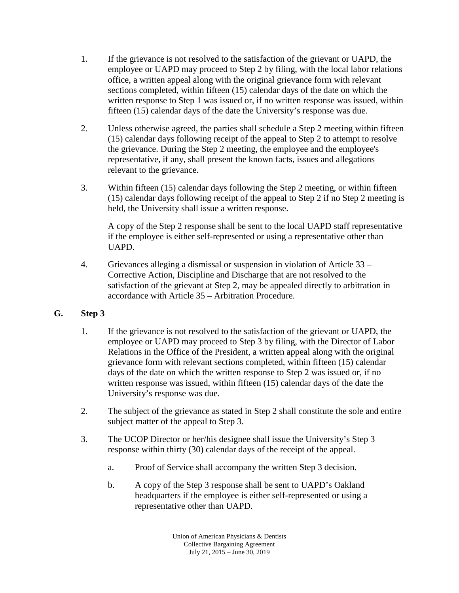- 1. If the grievance is not resolved to the satisfaction of the grievant or UAPD, the employee or UAPD may proceed to Step 2 by filing, with the local labor relations office, a written appeal along with the original grievance form with relevant sections completed, within fifteen (15) calendar days of the date on which the written response to Step 1 was issued or, if no written response was issued, within fifteen (15) calendar days of the date the University's response was due.
- 2. Unless otherwise agreed, the parties shall schedule a Step 2 meeting within fifteen (15) calendar days following receipt of the appeal to Step 2 to attempt to resolve the grievance. During the Step 2 meeting, the employee and the employee's representative, if any, shall present the known facts, issues and allegations relevant to the grievance.
- 3. Within fifteen (15) calendar days following the Step 2 meeting, or within fifteen (15) calendar days following receipt of the appeal to Step 2 if no Step 2 meeting is held, the University shall issue a written response.

A copy of the Step 2 response shall be sent to the local UAPD staff representative if the employee is either self-represented or using a representative other than UAPD.

- 4. Grievances alleging a dismissal or suspension in violation of Article 33 Corrective Action, Discipline and Discharge that are not resolved to the satisfaction of the grievant at Step 2, may be appealed directly to arbitration in accordance with Article 35 **–** Arbitration Procedure.
- **G. Step 3** 
	- 1. If the grievance is not resolved to the satisfaction of the grievant or UAPD, the employee or UAPD may proceed to Step 3 by filing, with the Director of Labor Relations in the Office of the President, a written appeal along with the original grievance form with relevant sections completed, within fifteen (15) calendar days of the date on which the written response to Step 2 was issued or, if no written response was issued, within fifteen (15) calendar days of the date the University's response was due.
	- 2. The subject of the grievance as stated in Step 2 shall constitute the sole and entire subject matter of the appeal to Step 3.
	- 3. The UCOP Director or her/his designee shall issue the University's Step 3 response within thirty (30) calendar days of the receipt of the appeal.
		- a. Proof of Service shall accompany the written Step 3 decision.
		- b. A copy of the Step 3 response shall be sent to UAPD's Oakland headquarters if the employee is either self-represented or using a representative other than UAPD.

Union of American Physicians & Dentists Collective Bargaining Agreement July 21, 2015 – June 30, 2019